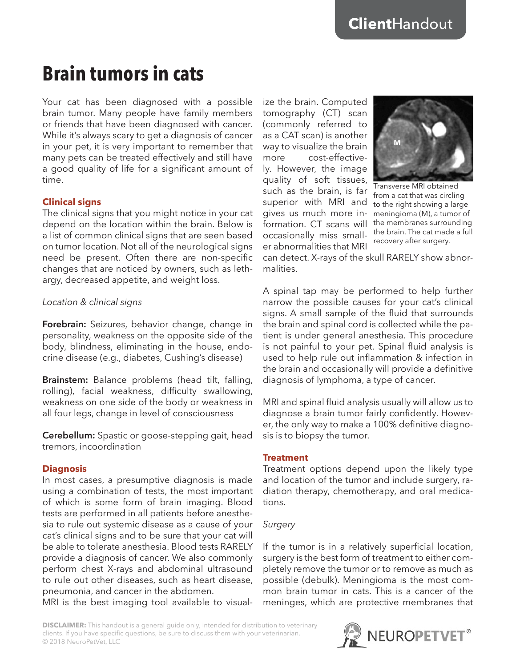# **Brain tumors in cats**

Your cat has been diagnosed with a possible brain tumor. Many people have family members or friends that have been diagnosed with cancer. While it's always scary to get a diagnosis of cancer in your pet, it is very important to remember that many pets can be treated effectively and still have a good quality of life for a significant amount of time.

## **Clinical signs**

The clinical signs that you might notice in your cat depend on the location within the brain. Below is a list of common clinical signs that are seen based on tumor location. Not all of the neurological signs need be present. Often there are non-specific changes that are noticed by owners, such as lethargy, decreased appetite, and weight loss.

## *Location & clinical signs*

**Forebrain:** Seizures, behavior change, change in personality, weakness on the opposite side of the body, blindness, eliminating in the house, endocrine disease (e.g., diabetes, Cushing's disease)

**Brainstem:** Balance problems (head tilt, falling, rolling), facial weakness, difficulty swallowing, weakness on one side of the body or weakness in all four legs, change in level of consciousness

**Cerebellum:** Spastic or goose-stepping gait, head tremors, incoordination

# **Diagnosis**

In most cases, a presumptive diagnosis is made using a combination of tests, the most important of which is some form of brain imaging. Blood tests are performed in all patients before anesthesia to rule out systemic disease as a cause of your cat's clinical signs and to be sure that your cat will be able to tolerate anesthesia. Blood tests RARELY provide a diagnosis of cancer. We also commonly perform chest X-rays and abdominal ultrasound to rule out other diseases, such as heart disease, pneumonia, and cancer in the abdomen.

MRI is the best imaging tool available to visual-

ize the brain. Computed tomography (CT) scan (commonly referred to as a CAT scan) is another way to visualize the brain more cost-effectively. However, the image quality of soft tissues, such as the brain, is far superior with MRI and gives us much more information. CT scans will occasionally miss smaller abnormalities that MRI



Transverse MRI obtained from a cat that was circling to the right showing a large meningioma (M), a tumor of the membranes surrounding the brain. The cat made a full recovery after surgery.

can detect. X-rays of the skull RARELY show abnormalities.

A spinal tap may be performed to help further narrow the possible causes for your cat's clinical signs. A small sample of the fluid that surrounds the brain and spinal cord is collected while the patient is under general anesthesia. This procedure is not painful to your pet. Spinal fluid analysis is used to help rule out inflammation & infection in the brain and occasionally will provide a definitive diagnosis of lymphoma, a type of cancer.

MRI and spinal fluid analysis usually will allow us to diagnose a brain tumor fairly confidently. However, the only way to make a 100% definitive diagnosis is to biopsy the tumor.

#### **Treatment**

Treatment options depend upon the likely type and location of the tumor and include surgery, radiation therapy, chemotherapy, and oral medications.

#### *Surgery*

If the tumor is in a relatively superficial location, surgery is the best form of treatment to either completely remove the tumor or to remove as much as possible (debulk). Meningioma is the most common brain tumor in cats. This is a cancer of the meninges, which are protective membranes that

**DISCLAIMER:** This handout is a general guide only, intended for distribution to veterinary clients. If you have specific questions, be sure to discuss them with your veterinarian. © 2018 NeuroPetVet, LLC